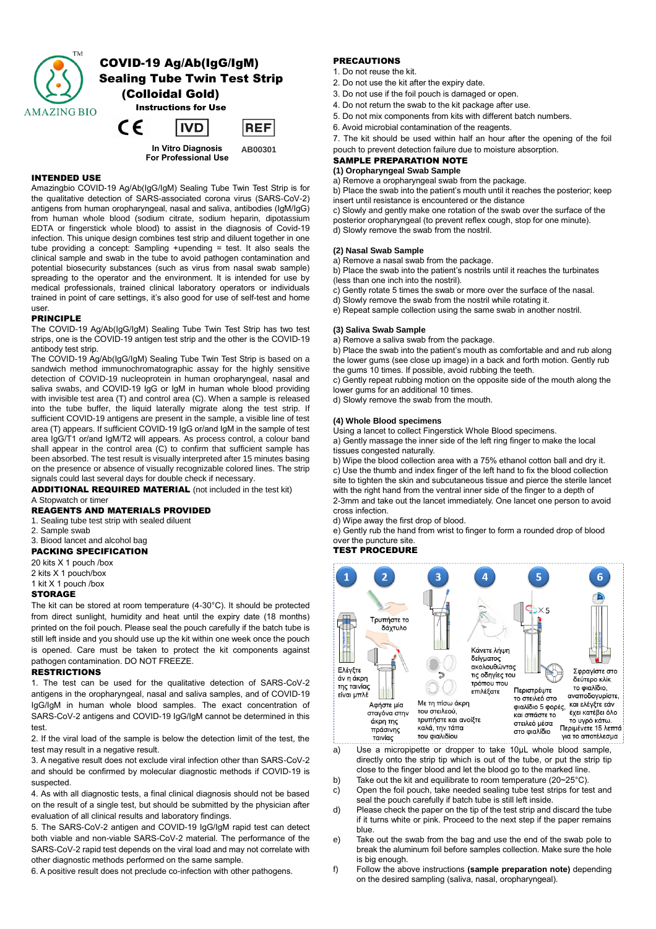

## INTENDED USE

Amazingbio COVID-19 Ag/Ab(IgG/IgM) Sealing Tube Twin Test Strip is for the qualitative detection of SARS-associated corona virus (SARS-CoV-2) antigens from human oropharyngeal, nasal and saliva, antibodies (IgM/IgG) from human whole blood (sodium citrate, sodium heparin, dipotassium EDTA or fingerstick whole blood) to assist in the diagnosis of Covid-19 infection. This unique design combines test strip and diluent together in one tube providing a concept: Sampling +upending = test. It also seals the clinical sample and swab in the tube to avoid pathogen contamination and potential biosecurity substances (such as virus from nasal swab sample) spreading to the operator and the environment. It is intended for use by medical professionals, trained clinical laboratory operators or individuals trained in point of care settings, it's also good for use of self-test and home user.

## PRINCIPLE

The COVID-19 Ag/Ab(IgG/IgM) Sealing Tube Twin Test Strip has two test strips, one is the COVID-19 antigen test strip and the other is the COVID-19 antibody test strip.

The COVID-19 Ag/Ab(IgG/IgM) Sealing Tube Twin Test Strip is based on a sandwich method immunochromatographic assay for the highly sensitive detection of COVID-19 nucleoprotein in human oropharyngeal, nasal and saliva swabs, and COVID-19 IgG or IgM in human whole blood providing with invisible test area (T) and control area (C). When a sample is released into the tube buffer, the liquid laterally migrate along the test strip. If sufficient COVID-19 antigens are present in the sample, a visible line of test area (T) appears. If sufficient COVID-19 IgG or/and IgM in the sample of test area IgG/T1 or/and IgM/T2 will appears. As process control, a colour band shall appear in the control area (C) to confirm that sufficient sample has been absorbed. The test result is visually interpreted after 15 minutes basing on the presence or absence of visually recognizable colored lines. The strip signals could last several days for double check if necessary.

ADDITIONAL REQUIRED MATERIAL (not included in the test kit) A Stopwatch or timer

# REAGENTS AND MATERIALS PROVIDED

1. Sealing tube test strip with sealed diluent

2. Sample swab

# 3. Biood lancet and alcohol bag

PACKING SPECIFICATION

20 kits X 1 pouch /box 2 kits X 1 pouch/box

1 kit X 1 pouch /box

#### **STORAGE**

The kit can be stored at room temperature (4-30°C). It should be protected from direct sunlight, humidity and heat until the expiry date (18 months) printed on the foil pouch. Please seal the pouch carefully if the batch tube is still left inside and you should use up the kit within one week once the pouch is opened. Care must be taken to protect the kit components against pathogen contamination. DO NOT FREEZE.

#### **RESTRICTIONS**

1. The test can be used for the qualitative detection of SARS-CoV-2 antigens in the oropharyngeal, nasal and saliva samples, and of COVID-19 IgG/IgM in human whole blood samples. The exact concentration of SARS-CoV-2 antigens and COVID-19 IgG/IgM cannot be determined in this test.

2. If the viral load of the sample is below the detection limit of the test, the test may result in a negative result.

3. A negative result does not exclude viral infection other than SARS-CoV-2 and should be confirmed by molecular diagnostic methods if COVID-19 is suspected.

4. As with all diagnostic tests, a final clinical diagnosis should not be based on the result of a single test, but should be submitted by the physician after evaluation of all clinical results and laboratory findings.

5. The SARS-CoV-2 antigen and COVID-19 IgG/IgM rapid test can detect both viable and non-viable SARS-CoV-2 material. The performance of the SARS-CoV-2 rapid test depends on the viral load and may not correlate with other diagnostic methods performed on the same sample.

6. A positive result does not preclude co-infection with other pathogens.

# **PRECAUTIONS**

- 1. Do not reuse the kit.
- 2. Do not use the kit after the expiry date.
- 3. Do not use if the foil pouch is damaged or open.
- 4. Do not return the swab to the kit package after use.
- 5. Do not mix components from kits with different batch numbers.
- 6. Avoid microbial contamination of the reagents.

7. The kit should be used within half an hour after the opening of the foil pouch to prevent detection failure due to moisture absorption.

# SAMPLE PREPARATION NOTE

**(1) Oropharyngeal Swab Sample**

a) Remove a oropharyngeal swab from the package. b) Place the swab into the patient's mouth until it reaches the posterior; keep insert until resistance is encountered or the distance

c) Slowly and gently make one rotation of the swab over the surface of the posterior oropharyngeal (to prevent reflex cough, stop for one minute).

d) Slowly remove the swab from the nostril.

# **(2) Nasal Swab Sample**

a) Remove a nasal swab from the package.

b) Place the swab into the patient's nostrils until it reaches the turbinates (less than one inch into the nostril).

c) Gently rotate 5 times the swab or more over the surface of the nasal.

- d) Slowly remove the swab from the nostril while rotating it.
- e) Repeat sample collection using the same swab in another nostril.

#### **(3) Saliva Swab Sample**

a) Remove a saliva swab from the package.

b) Place the swab into the patient's mouth as comfortable and and rub along the lower gums (see close up image) in a back and forth motion. Gently rub the gums 10 times. If possible, avoid rubbing the teeth.

c) Gently repeat rubbing motion on the opposite side of the mouth along the lower gums for an additional 10 times.

d) Slowly remove the swab from the mouth.

#### **(4) Whole Blood specimens**

Using a lancet to collect Fingerstick Whole Blood specimens. a) Gently massage the inner side of the left ring finger to make the local tissues congested naturally.

b) Wipe the blood collection area with a 75% ethanol cotton ball and dry it. c) Use the thumb and index finger of the left hand to fix the blood collection site to tighten the skin and subcutaneous tissue and pierce the sterile lancet with the right hand from the ventral inner side of the finger to a depth of 2-3mm and take out the lancet immediately. One lancet one person to avoid cross infection.

d) Wipe away the first drop of blood.

e) Gently rub the hand from wrist to finger to form a rounded drop of blood over the puncture site.

# TEST PROCEDURE



a) Use a micropipette or dropper to take 10μL whole blood sample, directly onto the strip tip which is out of the tube, or put the strip tip close to the finger blood and let the blood go to the marked line.

- b) Take out the kit and equilibrate to room temperature (20~25°C).
- c) Open the foil pouch, take needed sealing tube test strips for test and seal the pouch carefully if batch tube is still left inside.
- d) Please check the paper on the tip of the test strip and discard the tube if it turns white or pink. Proceed to the next step if the paper remains blue.
- e) Take out the swab from the bag and use the end of the swab pole to break the aluminum foil before samples collection. Make sure the hole is big enough.
- f) Follow the above instructions **(sample preparation note)** depending on the desired sampling (saliva, nasal, oropharyngeal).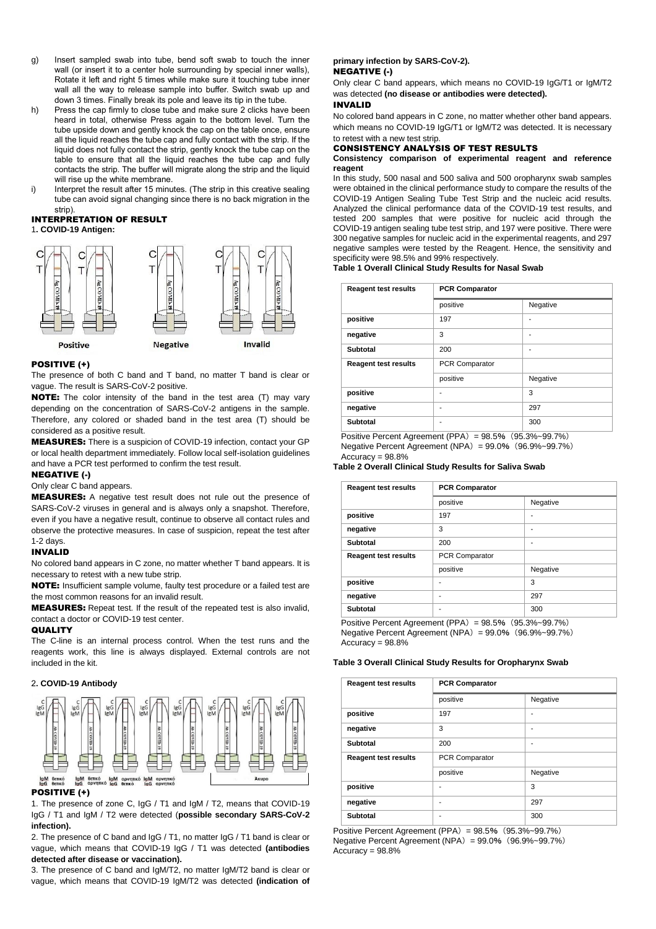- g) Insert sampled swab into tube, bend soft swab to touch the inner wall (or insert it to a center hole surrounding by special inner walls), Rotate it left and right 5 times while make sure it touching tube inner wall all the way to release sample into buffer. Switch swab up and down 3 times. Finally break its pole and leave its tip in the tube.
- h) Press the cap firmly to close tube and make sure 2 clicks have been heard in total, otherwise Press again to the bottom level. Turn the tube upside down and gently knock the cap on the table once, ensure all the liquid reaches the tube cap and fully contact with the strip. If the liquid does not fully contact the strip, gently knock the tube cap on the table to ensure that all the liquid reaches the tube cap and fully contacts the strip. The buffer will migrate along the strip and the liquid will rise up the white membrane.
- i) Interpret the result after 15 minutes. (The strip in this creative sealing tube can avoid signal changing since there is no back migration in the strip)

#### INTERPRETATION OF RESULT 1**. COVID-19 Antigen:**



#### POSITIVE (+)

The presence of both C band and T band, no matter T band is clear or vague. The result is SARS-CoV-2 positive.

NOTE: The color intensity of the band in the test area (T) may vary depending on the concentration of SARS-CoV-2 antigens in the sample. Therefore, any colored or shaded band in the test area (T) should be considered as a positive result.

MEASURES: There is a suspicion of COVID-19 infection, contact your GP or local health department immediately. Follow local self-isolation guidelines and have a PCR test performed to confirm the test result.

# NEGATIVE (-)

# Only clear C band appears.

MEASURES: A negative test result does not rule out the presence of SARS-CoV-2 viruses in general and is always only a snapshot. Therefore, even if you have a negative result, continue to observe all contact rules and observe the protective measures. In case of suspicion, repeat the test after 1-2 days.

#### INVALID

No colored band appears in C zone, no matter whether T band appears. It is necessary to retest with a new tube strip.

NOTE: Insufficient sample volume, faulty test procedure or a failed test are the most common reasons for an invalid result.

MEASURES: Repeat test. If the result of the repeated test is also invalid, contact a doctor or COVID-19 test center.

## QUALITY

The C-line is an internal process control. When the test runs and the reagents work, this line is always displayed. External controls are not included in the kit.

## 2**. COVID-19 Antibody**



#### POSITIVE (+)

1. The presence of zone C, IgG / T1 and IgM / T2, means that COVID-19 IgG / T1 and IgM / T2 were detected (**possible secondary SARS-CoV-2 infection).**

2. The presence of C band and IgG / T1, no matter IgG / T1 band is clear or vague, which means that COVID-19 IgG / T1 was detected **(antibodies detected after disease or vaccination).**

3. The presence of C band and IgM/T2, no matter IgM/T2 band is clear or vague, which means that COVID-19 IgM/T2 was detected **(indication of** 

# **primary infection by SARS-CoV-2).**

# NEGATIVE (-)

Only clear C band appears, which means no COVID-19 IgG/T1 or IgM/T2 was detected **(no disease or antibodies were detected).** INVALID

No colored band appears in C zone, no matter whether other band appears. which means no COVID-19 IgG/T1 or IgM/T2 was detected. It is necessary to retest with a new test strip.

## CONSISTENCY ANALYSIS OF TEST RESULTS

#### **Consistency comparison of experimental reagent and reference reagent**

In this study, 500 nasal and 500 saliva and 500 oropharynx swab samples were obtained in the clinical performance study to compare the results of the COVID-19 Antigen Sealing Tube Test Strip and the nucleic acid results. Analyzed the clinical performance data of the COVID-19 test results, and tested 200 samples that were positive for nucleic acid through the COVID-19 antigen sealing tube test strip, and 197 were positive. There were 300 negative samples for nucleic acid in the experimental reagents, and 297 negative samples were tested by the Reagent. Hence, the sensitivity and specificity were 98.5% and 99% respectively.

#### **Table 1 Overall Clinical Study Results for Nasal Swab**

| <b>Reagent test results</b> | <b>PCR Comparator</b> |          |
|-----------------------------|-----------------------|----------|
|                             | positive              | Negative |
| positive                    | 197                   | -        |
| negative                    | 3                     | -        |
| Subtotal                    | 200                   | ۰        |
| <b>Reagent test results</b> | <b>PCR Comparator</b> |          |
|                             | positive              | Negative |
| positive                    |                       | 3        |
| negative                    | ۰                     | 297      |
| Subtotal                    |                       | 300      |

Positive Percent Agreement (PPA) = 98.5% (95.3%~99.7%) Negative Percent Agreement (NPA)= 99.0%(96.9%~99.7%)

Accuracy = 98.8%

#### **Table 2 Overall Clinical Study Results for Saliva Swab**

| <b>Reagent test results</b> | <b>PCR Comparator</b> |          |
|-----------------------------|-----------------------|----------|
|                             | positive              | Negative |
| positive                    | 197                   | ۰        |
| negative                    | 3                     | ۰        |
| Subtotal                    | 200                   | ۰        |
| <b>Reagent test results</b> | PCR Comparator        |          |
|                             | positive              | Negative |
| positive                    |                       | 3        |
| negative                    | ۰                     | 297      |
| <b>Subtotal</b>             | ۰                     | 300      |
|                             |                       |          |

Positive Percent Agreement (PPA) =  $98.5\%$  ( $95.3\%$  ~99.7%) Negative Percent Agreement (NPA) =  $99.0\%$  (96.9%~99.7%)  $Accuracy = 98.8%$ 

#### **Table 3 Overall Clinical Study Results for Oropharynx Swab**

| <b>Reagent test results</b> | <b>PCR Comparator</b> |          |
|-----------------------------|-----------------------|----------|
|                             | positive              | Negative |
| positive                    | 197                   |          |
| negative                    | 3                     | ۰        |
| Subtotal                    | 200                   |          |
| <b>Reagent test results</b> | <b>PCR Comparator</b> |          |
|                             | positive              | Negative |
| positive                    |                       | 3        |
| negative                    | ۰                     | 297      |
| <b>Subtotal</b>             | ۰                     | 300      |

Positive Percent Agreement (PPA)= 98.5%(95.3%~99.7%) Negative Percent Agreement (NPA) =  $99.0\%$  (96.9%~99.7%) Accuracy = 98.8%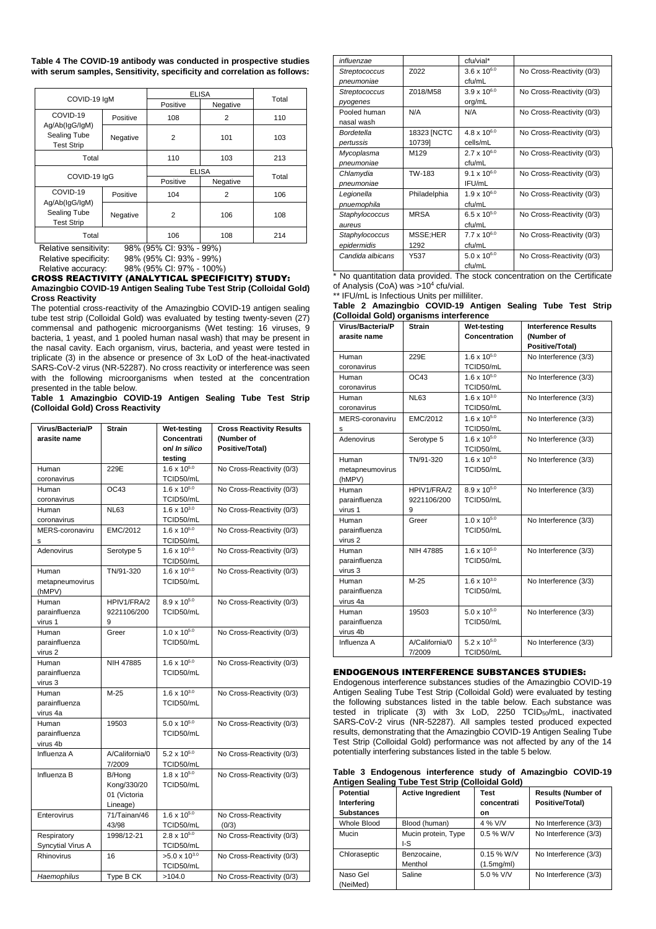**Table 4 The COVID-19 antibody was conducted in prospective studies with serum samples, Sensitivity, specificity and correlation as follows:**

|                                                     |              | <b>ELISA</b> |                |       |
|-----------------------------------------------------|--------------|--------------|----------------|-------|
|                                                     | COVID-19 IqM |              | Negative       | Total |
| COVID-19<br>Ag/Ab(IgG/IgM)                          | Positive     | 108          | 2              | 110   |
| Sealing Tube<br><b>Test Strip</b>                   | Negative     | 2            | 101            | 103   |
| Total                                               |              | 110          | 103            | 213   |
| COVID-19 IqG                                        |              |              | <b>ELISA</b>   |       |
|                                                     |              | Positive     | Negative       | Total |
| COVID-19                                            | Positive     | 104          | $\overline{2}$ | 106   |
| Ag/Ab(IgG/IgM)<br>Sealing Tube<br><b>Test Strip</b> | Negative     | 2            | 106            | 108   |
| Total                                               |              | 106          | 108            | 214   |

Relative sensitivity: 98% (95% CI: 93% - 99%)<br>Relative specificity: 98% (95% CI: 93% - 99%) Relative specificity: 98% (95% CI: 93% - 99%)<br>Relative accuracy: 98% (95% CI: 97% - 100%

98% (95% CI: 97% - 100%)

CROSS REACTIVITY (ANALYTICAL SPECIFICITY) STUDY: **Amazingbio COVID-19 Antigen Sealing Tube Test Strip (Colloidal Gold) Cross Reactivity**

The potential cross-reactivity of the Amazingbio COVID-19 antigen sealing tube test strip (Colloidal Gold) was evaluated by testing twenty-seven (27) commensal and pathogenic microorganisms (Wet testing: 16 viruses, 9 bacteria, 1 yeast, and 1 pooled human nasal wash) that may be present in the nasal cavity. Each organism, virus, bacteria, and yeast were tested in triplicate (3) in the absence or presence of 3x LoD of the heat-inactivated SARS-CoV-2 virus (NR-52287). No cross reactivity or interference was seen with the following microorganisms when tested at the concentration presented in the table below.

**Table 1 Amazingbio COVID-19 Antigen Sealing Tube Test Strip (Colloidal Gold) Cross Reactivity**

| Virus/Bacteria/P  | Strain         | Wet-testing            | <b>Cross Reactivity Results</b> |
|-------------------|----------------|------------------------|---------------------------------|
| arasite name      |                | Concentrati            | (Number of                      |
|                   |                | on/ In silico          | Positive/Total)                 |
|                   |                | testing                |                                 |
| Human             | 229E           | $1.6 \times 10^{5.0}$  | No Cross-Reactivity (0/3)       |
| coronavirus       |                | TCID50/mL              |                                 |
| Human             | OC43           | $1.6 \times 10^{5.0}$  | No Cross-Reactivity (0/3)       |
| coronavirus       |                | TCID50/mL              |                                 |
| Human             | <b>NL63</b>    | $1.6 \times 10^{3.0}$  | No Cross-Reactivity (0/3)       |
| coronavirus       |                | TCID50/mL              |                                 |
| MERS-coronaviru   | EMC/2012       | $1.6 \times 10^{5.0}$  | No Cross-Reactivity (0/3)       |
| s                 |                | TCID50/mL              |                                 |
| Adenovirus        | Serotype 5     | $1.6 \times 10^{5.0}$  | No Cross-Reactivity (0/3)       |
|                   |                | TCID50/mL              |                                 |
| Human             | TN/91-320      | $1.6 \times 10^{5.0}$  | No Cross-Reactivity (0/3)       |
| metapneumovirus   |                | TCID50/mL              |                                 |
| (hMPV)            |                |                        |                                 |
| Human             | HPIV1/FRA/2    | $8.9 \times 10^{5.0}$  | No Cross-Reactivity (0/3)       |
| parainfluenza     | 9221106/200    | TCID50/mL              |                                 |
| virus 1           | 9              |                        |                                 |
| Human             | Greer          | $1.0 \times 10^{5.0}$  | No Cross-Reactivity (0/3)       |
| parainfluenza     |                | TCID50/mL              |                                 |
| virus 2           |                |                        |                                 |
| Human             | NIH 47885      | $1.6 \times 10^{5.0}$  | No Cross-Reactivity (0/3)       |
| parainfluenza     |                | TCID50/mL              |                                 |
| virus 3           |                |                        |                                 |
| Human             | $M-25$         | $1.6 \times 10^{3.0}$  | No Cross-Reactivity (0/3)       |
| parainfluenza     |                | TCID50/mL              |                                 |
| virus 4a          |                |                        |                                 |
| Human             | 19503          | $5.0 \times 10^{5.0}$  | No Cross-Reactivity (0/3)       |
| parainfluenza     |                | TCID50/mL              |                                 |
| virus 4b          |                |                        |                                 |
| Influenza A       | A/California/0 | $5.2 \times 10^{5.0}$  | No Cross-Reactivity (0/3)       |
|                   | 7/2009         | TCID50/mL              |                                 |
| Influenza B       | B/Hong         | $1.8 \times 10^{5.0}$  | No Cross-Reactivity (0/3)       |
|                   | Kong/330/20    | TCID50/mL              |                                 |
|                   | 01 (Victoria   |                        |                                 |
|                   | Lineage)       |                        |                                 |
| Enterovirus       | 71/Tainan/46   | $1.6 \times 10^{5.0}$  | No Cross-Reactivity             |
|                   | 43/98          | TCID50/mL              | (0/3)                           |
| Respiratory       | 1998/12-21     | $2.8 \times 10^{5.0}$  | No Cross-Reactivity (0/3)       |
| Syncytial Virus A |                | TCID50/mL              |                                 |
| Rhinovirus        | 16             | $>5.0 \times 10^{3.0}$ | No Cross-Reactivity (0/3)       |
|                   |                | TCID50/mL              |                                 |
| Haemophilus       | Type B CK      | >104.0                 | No Cross-Reactivity (0/3)       |

| influenzae           |              | cfu/vial*             |                           |
|----------------------|--------------|-----------------------|---------------------------|
| Streptococcus        | Z022         | $3.6 \times 10^{6.0}$ | No Cross-Reactivity (0/3) |
| pneumoniae           |              | cfu/mL                |                           |
| <b>Streptococcus</b> | Z018/M58     | $3.9 \times 10^{6.0}$ | No Cross-Reactivity (0/3) |
| pyogenes             |              | org/mL                |                           |
| Pooled human         | N/A          | N/A                   | No Cross-Reactivity (0/3) |
| nasal wash           |              |                       |                           |
| Bordetella           | 18323 [NCTC  | $4.8 \times 10^{6.0}$ | No Cross-Reactivity (0/3) |
| pertussis            | 10739]       | cells/mL              |                           |
| Mycoplasma           | M129         | $2.7 \times 10^{6.0}$ | No Cross-Reactivity (0/3) |
| pneumoniae           |              | cfu/mL                |                           |
| Chlamydia            | TW-183       | $9.1 \times 10^{6.0}$ | No Cross-Reactivity (0/3) |
| pneumoniae           |              | IFU/mL                |                           |
| Legionella           | Philadelphia | $1.9 \times 10^{6.0}$ | No Cross-Reactivity (0/3) |
| pnuemophila          |              | cfu/mL                |                           |
| Staphylococcus       | <b>MRSA</b>  | 6.5 x $10^{5.0}$      | No Cross-Reactivity (0/3) |
| aureus               |              | cfu/mL                |                           |
| Staphylococcus       | MSSE;HER     | $7.7 \times 10^{6.0}$ | No Cross-Reactivity (0/3) |
| epidermidis          | 1292         | cfu/mL                |                           |
| Candida albicans     | Y537         | 5.0 x $10^{6.0}$      | No Cross-Reactivity (0/3) |
|                      |              | cfu/mL                |                           |

\* No quantitation data provided. The stock concentration on the Certificate of Analysis (CoA) was >10<sup>4</sup> cfu/vial.

\*\* IFU/mL is Infectious Units per milliliter.

| Table 2 Amazingbio COVID-19 Antigen Sealing Tube Test Strip |  |  |  |
|-------------------------------------------------------------|--|--|--|
| (Colloidal Gold) organisms interference                     |  |  |  |

| Virus/Bacteria/P<br>arasite name | <b>Strain</b>  | Wet-testing<br>Concentration | <b>Interference Results</b><br>(Number of |
|----------------------------------|----------------|------------------------------|-------------------------------------------|
|                                  |                |                              | Positive/Total)                           |
| Human                            | 229E           | $1.6 \times 10^{5.0}$        | No Interference (3/3)                     |
| coronavirus                      |                | TCID50/mL                    |                                           |
| Human                            | OC43           | $1.6 \times 10^{5.0}$        | No Interference (3/3)                     |
| coronavirus                      |                | TCID50/mL                    |                                           |
| Human                            | <b>NL63</b>    | $1.6 \times 10^{3.0}$        | No Interference (3/3)                     |
| coronavirus                      |                | TCID50/mL                    |                                           |
| MERS-coronaviru                  | EMC/2012       | $1.6 \times 10^{5.0}$        | No Interference (3/3)                     |
| s                                |                | TCID50/mL                    |                                           |
| Adenovirus                       | Serotype 5     | $1.6 \times 10^{5.0}$        | No Interference (3/3)                     |
|                                  |                | TCID50/mL                    |                                           |
| Human                            | TN/91-320      | $1.6 \times 10^{5.0}$        | No Interference (3/3)                     |
| metapneumovirus                  |                | TCID50/mL                    |                                           |
| (hMPV)                           |                |                              |                                           |
| Human                            | HPIV1/FRA/2    | $8.9 \times 10^{5.0}$        | No Interference (3/3)                     |
| parainfluenza                    | 9221106/200    | TCID50/mL                    |                                           |
| virus 1                          | 9              |                              |                                           |
| Human                            | Greer          | $1.0 \times 10^{5.0}$        | No Interference (3/3)                     |
| parainfluenza                    |                | TCID50/mL                    |                                           |
| virus 2                          |                |                              |                                           |
| Human                            | NIH 47885      | $1.6 \times 10^{5.0}$        | No Interference (3/3)                     |
| parainfluenza                    |                | TCID50/mL                    |                                           |
| virus 3                          |                |                              |                                           |
| Human                            | $M-25$         | $1.6 \times 10^{3.0}$        | No Interference (3/3)                     |
| parainfluenza                    |                | TCID50/mL                    |                                           |
| virus 4a                         |                |                              |                                           |
| Human                            | 19503          | $5.0 \times 10^{5.0}$        | No Interference (3/3)                     |
| parainfluenza                    |                | TCID50/mL                    |                                           |
| virus 4b                         |                |                              |                                           |
| Influenza A                      | A/California/0 | $5.2 \times 10^{5.0}$        | No Interference (3/3)                     |
|                                  | 7/2009         | TCID50/mL                    |                                           |

## ENDOGENOUS INTERFERENCE SUBSTANCES STUDIES:

Endogenous interference substances studies of the Amazingbio COVID-19 Antigen Sealing Tube Test Strip (Colloidal Gold) were evaluated by testing the following substances listed in the table below. Each substance was tested in triplicate (3) with 3x LoD, 2250 TCID50/mL, inactivated SARS-CoV-2 virus (NR-52287). All samples tested produced expected results, demonstrating that the Amazingbio COVID-19 Antigen Sealing Tube Test Strip (Colloidal Gold) performance was not affected by any of the 14 potentially interfering substances listed in the table 5 below.

|  | Table 3 Endogenous interference study of Amazingbio COVID-19 |  |  |  |
|--|--------------------------------------------------------------|--|--|--|
|  | Antigen Sealing Tube Test Strip (Colloidal Gold)             |  |  |  |

| <b>Potential</b>  | <b>Active Ingredient</b> | Test         | <b>Results (Number of</b> |
|-------------------|--------------------------|--------------|---------------------------|
| Interfering       |                          | concentrati  | Positive/Total)           |
| <b>Substances</b> |                          | on           |                           |
| Whole Blood       | Blood (human)            | 4 % V/V      | No Interference (3/3)     |
| Mucin             | Mucin protein, Type      | $0.5$ % W/V  | No Interference (3/3)     |
|                   | I-S                      |              |                           |
| Chloraseptic      | Benzocaine,              | $0.15\%$ W/V | No Interference (3/3)     |
|                   | Menthol                  | (1.5mg/ml)   |                           |
| Naso Gel          | Saline                   | 5.0 % V/V    | No Interference (3/3)     |
| (NeiMed)          |                          |              |                           |